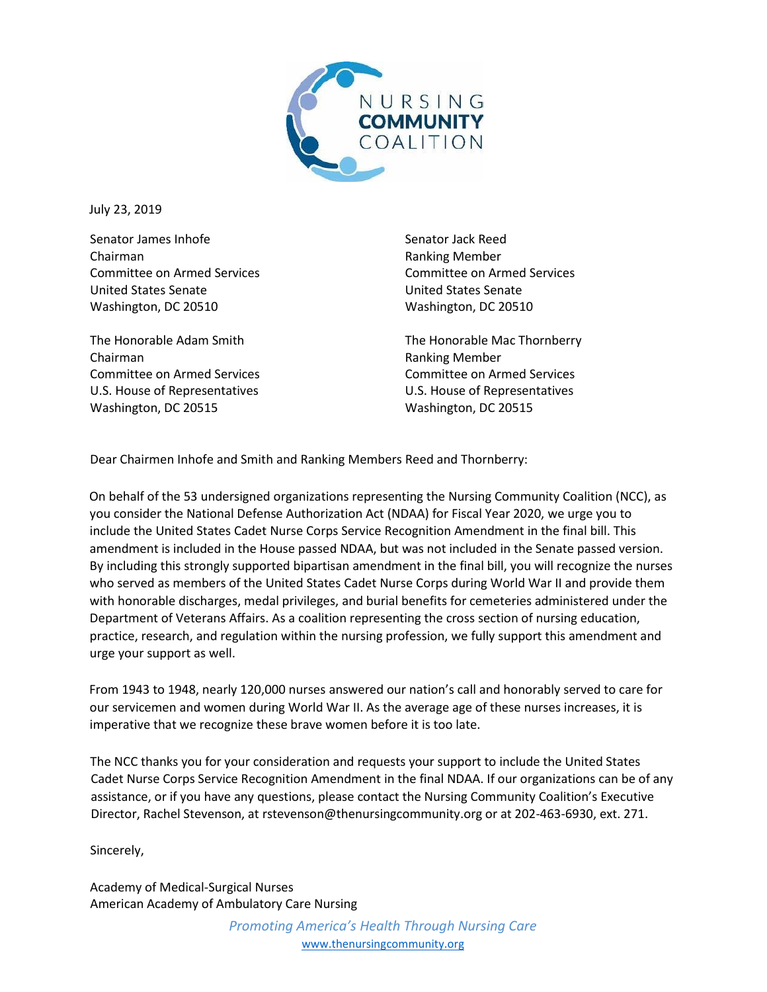

July 23, 2019

Senator James Inhofe Chairman Committee on Armed Services United States Senate Washington, DC 20510

The Honorable Adam Smith Chairman Committee on Armed Services U.S. House of Representatives Washington, DC 20515

Senator Jack Reed Ranking Member Committee on Armed Services United States Senate Washington, DC 20510

The Honorable Mac Thornberry Ranking Member Committee on Armed Services U.S. House of Representatives Washington, DC 20515

Dear Chairmen Inhofe and Smith and Ranking Members Reed and Thornberry:

On behalf of the 53 undersigned organizations representing the Nursing Community Coalition (NCC), as you consider the National Defense Authorization Act (NDAA) for Fiscal Year 2020, we urge you to include the United States Cadet Nurse Corps Service Recognition Amendment in the final bill. This amendment is included in the House passed NDAA, but was not included in the Senate passed version. By including this strongly supported bipartisan amendment in the final bill, you will recognize the nurses who served as members of the United States Cadet Nurse Corps during World War II and provide them with honorable discharges, medal privileges, and burial benefits for cemeteries administered under the Department of Veterans Affairs. As a coalition representing the cross section of nursing education, practice, research, and regulation within the nursing profession, we fully support this amendment and urge your support as well.

From 1943 to 1948, nearly 120,000 nurses answered our nation's call and honorably served to care for our servicemen and women during World War II. As the average age of these nurses increases, it is imperative that we recognize these brave women before it is too late.

The NCC thanks you for your consideration and requests your support to include the United States Cadet Nurse Corps Service Recognition Amendment in the final NDAA. If our organizations can be of any assistance, or if you have any questions, please contact the Nursing Community Coalition's Executive Director, Rachel Stevenson, at rstevenson@thenursingcommunity.org or at 202-463-6930, ext. 271.

Sincerely,

Academy of Medical-Surgical Nurses American Academy of Ambulatory Care Nursing

> *Promoting America's Health Through Nursing Care* www.thenursingcommunity.org